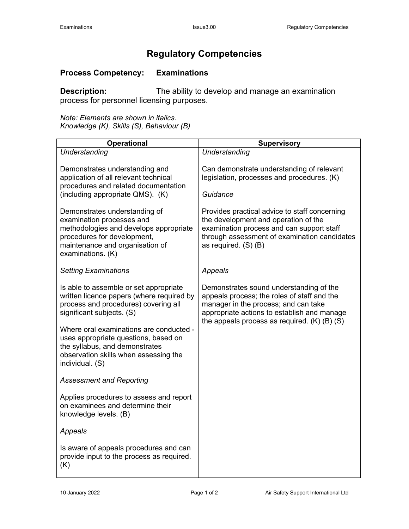## **Regulatory Competencies**

## **Process Competency: Examinations**

**Description:** The ability to develop and manage an examination process for personnel licensing purposes.

*Note: Elements are shown in italics. Knowledge (K), Skills (S), Behaviour (B)*

| <b>Operational</b>                                                                                                                                                                          | <b>Supervisory</b>                                                                                                                                                                                                                |
|---------------------------------------------------------------------------------------------------------------------------------------------------------------------------------------------|-----------------------------------------------------------------------------------------------------------------------------------------------------------------------------------------------------------------------------------|
| Understanding                                                                                                                                                                               | Understanding                                                                                                                                                                                                                     |
| Demonstrates understanding and<br>application of all relevant technical<br>procedures and related documentation<br>(including appropriate QMS). (K)                                         | Can demonstrate understanding of relevant<br>legislation, processes and procedures. (K)<br>Guidance                                                                                                                               |
| Demonstrates understanding of<br>examination processes and<br>methodologies and develops appropriate<br>procedures for development,<br>maintenance and organisation of<br>examinations. (K) | Provides practical advice to staff concerning<br>the development and operation of the<br>examination process and can support staff<br>through assessment of examination candidates<br>as required. (S) (B)                        |
| <b>Setting Examinations</b>                                                                                                                                                                 | Appeals                                                                                                                                                                                                                           |
| Is able to assemble or set appropriate<br>written licence papers (where required by<br>process and procedures) covering all<br>significant subjects. (S)                                    | Demonstrates sound understanding of the<br>appeals process; the roles of staff and the<br>manager in the process; and can take<br>appropriate actions to establish and manage<br>the appeals process as required. $(K)$ (B) $(S)$ |
| Where oral examinations are conducted -<br>uses appropriate questions, based on<br>the syllabus, and demonstrates<br>observation skills when assessing the<br>individual. (S)               |                                                                                                                                                                                                                                   |
| <b>Assessment and Reporting</b>                                                                                                                                                             |                                                                                                                                                                                                                                   |
| Applies procedures to assess and report<br>on examinees and determine their<br>knowledge levels. (B)                                                                                        |                                                                                                                                                                                                                                   |
| Appeals                                                                                                                                                                                     |                                                                                                                                                                                                                                   |
| Is aware of appeals procedures and can<br>provide input to the process as required.<br>(K)                                                                                                  |                                                                                                                                                                                                                                   |